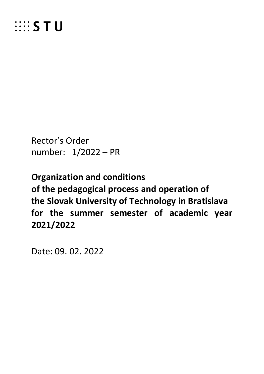

Rector's Order number: 1/2022 – PR

**Organization and conditions of the pedagogical process and operation of the Slovak University of Technology in Bratislava for the summer semester of academic year 2021/2022**

Date: 09. 02. 2022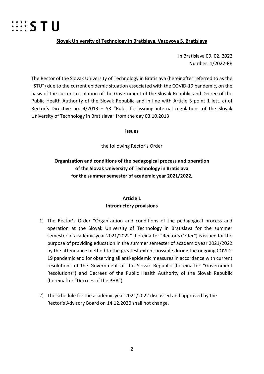

#### **Slovak University of Technology in Bratislava, Vazovova 5, Bratislava**

In Bratislava 09. 02. 2022 Number: 1/2022-PR

The Rector of the Slovak University of Technology in Bratislava (hereinafter referred to as the "STU") due to the current epidemic situation associated with the COVID-19 pandemic, on the basis of the current resolution of the Government of the Slovak Republic and Decree of the Public Health Authority of the Slovak Republic and in line with Article 3 point 1 lett. c) of Rector's Directive no. 4/2013 – SR "Rules for issuing internal regulations of the Slovak University of Technology in Bratislava" from the day 03.10.2013

**issues**

the following Rector's Order

# **Organization and conditions of the pedagogical process and operation of the Slovak University of Technology in Bratislava for the summer semester of academic year 2021/2022,**

## **Article 1 Introductory provisions**

- 1) The Rector's Order "Organization and conditions of the pedagogical process and operation at the Slovak University of Technology in Bratislava for the summer semester of academic year 2021/2022" (hereinafter "Rector's Order") is issued for the purpose of providing education in the summer semester of academic year 2021/2022 by the attendance method to the greatest extent possible during the ongoing COVID-19 pandemic and for observing all anti-epidemic measures in accordance with current resolutions of the Government of the Slovak Republic (hereinafter "Government Resolutions") and Decrees of the Public Health Authority of the Slovak Republic (hereinafter "Decrees of the PHA").
- 2) The schedule for the academic year 2021/2022 discussed and approved by the Rector's Advisory Board on 14.12.2020 shall not change.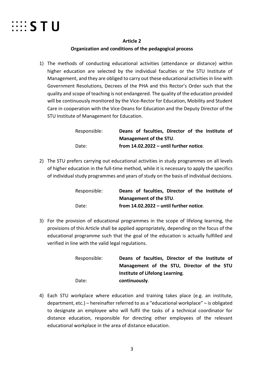

#### **Article 2**

## **Organization and conditions of the pedagogical process**

1) The methods of conducting educational activities (attendance or distance) within higher education are selected by the individual faculties or the STU Institute of Management, and they are obliged to carry out these educational activities in line with Government Resolutions, Decrees of the PHA and this Rector's Order such that the quality and scope of teaching is not endangered. The quality of the education provided will be continuously monitored by the Vice-Rector for Education, Mobility and Student Care in cooperation with the Vice-Deans for Education and the Deputy Director of the STU Institute of Management for Education.

| Responsible: | Deans of faculties, Director of the Institute of |
|--------------|--------------------------------------------------|
|              | Management of the STU.                           |
| Date:        | from $14.02.2022 -$ until further notice.        |

2) The STU prefers carrying out educational activities in study programmes on all levels of higher education in the full-time method, while it is necessary to apply the specifics of individual study programmes and years of study on the basis of individual decisions.

| Responsible: | Deans of faculties, Director of the Institute of |
|--------------|--------------------------------------------------|
|              | <b>Management of the STU.</b>                    |
| Date:        | from $14.02.2022 -$ until further notice.        |

3) For the provision of educational programmes in the scope of lifelong learning, the provisions of this Article shall be applied appropriately, depending on the focus of the educational programme such that the goal of the education is actually fulfilled and verified in line with the valid legal regulations.

| Responsible: | Deans of faculties, Director of the Institute of |
|--------------|--------------------------------------------------|
|              | Management of the STU, Director of the STU       |
|              | Institute of Lifelong Learning.                  |
| Date:        | continuously.                                    |

4) Each STU workplace where education and training takes place (e.g. an institute, department, etc.) – hereinafter referred to as a "educational workplace" – is obligated to designate an employee who will fulfil the tasks of a technical coordinator for distance education, responsible for directing other employees of the relevant educational workplace in the area of distance education.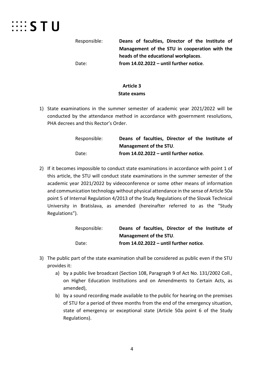# **EXAMPLE STU**

Responsible: **Deans of faculties, Director of the Institute of Management of the STU in cooperation with the heads of the educational workplaces**. Date: **from 14.02.2022 – until further notice**.

## **Article 3 State exams**

1) State examinations in the summer semester of academic year 2021/2022 will be conducted by the attendance method in accordance with government resolutions, PHA decrees and this Rector's Order.

| Responsible: | Deans of faculties, Director of the Institute of |
|--------------|--------------------------------------------------|
|              | <b>Management of the STU.</b>                    |
| Date:        | from $14.02.2022 -$ until further notice.        |

2) If it becomes impossible to conduct state examinations in accordance with point 1 of this article, the STU will conduct state examinations in the summer semester of the academic year 2021/2022 by videoconference or some other means of information and communication technology without physical attendance in the sense of Article 50a point 5 of Internal Regulation 4/2013 of the Study Regulations of the Slovak Technical University in Bratislava, as amended (hereinafter referred to as the "Study Regulations").

| Responsible: | Deans of faculties, Director of the Institute of |
|--------------|--------------------------------------------------|
|              | Management of the STU.                           |
| Date:        | from $14.02.2022 -$ until further notice.        |

- 3) The public part of the state examination shall be considered as public even if the STU provides it:
	- a) by a public live broadcast (Section 108, Paragraph 9 of Act No. 131/2002 Coll., on Higher Education Institutions and on Amendments to Certain Acts, as amended),
	- b) by a sound recording made available to the public for hearing on the premises of STU for a period of three months from the end of the emergency situation, state of emergency or exceptional state (Article 50a point 6 of the Study Regulations).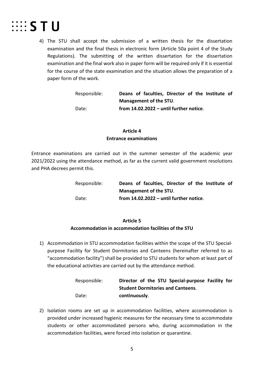

4) The STU shall accept the submission of a written thesis for the dissertation examination and the final thesis in electronic form (Article 50a point 4 of the Study Regulations). The submitting of the written dissertation for the dissertation examination and the final work also in paper form will be required only if it is essential for the course of the state examination and the situation allows the preparation of a paper form of the work.

| Responsible: | Deans of faculties, Director of the Institute of |
|--------------|--------------------------------------------------|
|              | <b>Management of the STU.</b>                    |
| Date:        | from $14.02.2022 -$ until further notice.        |

## **Article 4 Entrance examinations**

Entrance examinations are carried out in the summer semester of the academic year 2021/2022 using the attendance method, as far as the current valid government resolutions and PHA decrees permit this.

| Responsible: |  | Deans of faculties, Director of the Institute of |  |  |  |
|--------------|--|--------------------------------------------------|--|--|--|
|              |  | Management of the STU.                           |  |  |  |
| Date:        |  | from 14.02.2022 - until further notice.          |  |  |  |

## **Article 5**

## **Accommodation in accommodation facilities of the STU**

1) Accommodation in STU accommodation facilities within the scope of the STU Specialpurpose Facility for Student Dormitories and Canteens (hereinafter referred to as "accommodation facility") shall be provided to STU students for whom at least part of the educational activities are carried out by the attendance method.

| Responsible: |               |  | Director of the STU Special-purpose Facility for |  |
|--------------|---------------|--|--------------------------------------------------|--|
|              |               |  | <b>Student Dormitories and Canteens.</b>         |  |
| Date:        | continuously. |  |                                                  |  |

2) Isolation rooms are set up in accommodation facilities, where accommodation is provided under increased hygienic measures for the necessary time to accommodate students or other accommodated persons who, during accommodation in the accommodation facilities, were forced into isolation or quarantine.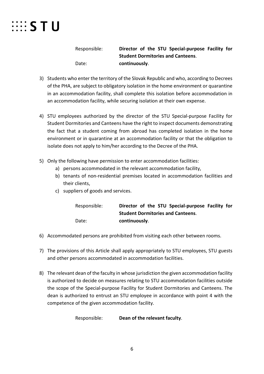

Responsible: **Director of the STU Special-purpose Facility for Student Dormitories and Canteens**. Date: **continuously**.

- 3) Students who enter the territory of the Slovak Republic and who, according to Decrees of the PHA, are subject to obligatory isolation in the home environment or quarantine in an accommodation facility, shall complete this isolation before accommodation in an accommodation facility, while securing isolation at their own expense.
- 4) STU employees authorized by the director of the STU Special-purpose Facility for Student Dormitories and Canteens have the right to inspect documents demonstrating the fact that a student coming from abroad has completed isolation in the home environment or in quarantine at an accommodation facility or that the obligation to isolate does not apply to him/her according to the Decree of the PHA.
- 5) Only the following have permission to enter accommodation facilities:
	- a) persons accommodated in the relevant accommodation facility,
	- b) tenants of non-residential premises located in accommodation facilities and their clients,
	- c) suppliers of goods and services.

| Responsible: | Director of the STU Special-purpose Facility for |
|--------------|--------------------------------------------------|
|              | <b>Student Dormitories and Canteens.</b>         |
| Date:        | continuously.                                    |

- 6) Accommodated persons are prohibited from visiting each other between rooms.
- 7) The provisions of this Article shall apply appropriately to STU employees, STU guests and other persons accommodated in accommodation facilities.
- 8) The relevant dean of the faculty in whose jurisdiction the given accommodation facility is authorized to decide on measures relating to STU accommodation facilities outside the scope of the Special-purpose Facility for Student Dormitories and Canteens. The dean is authorized to entrust an STU employee in accordance with point 4 with the competence of the given accommodation facility.

Responsible: **Dean of the relevant faculty**.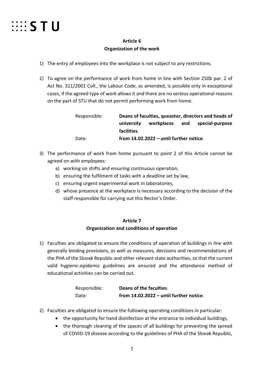

## **Article 6 Organization of the work**

- 1) The entry of employees into the workplace is not subject to any restrictions.
- 2) To agree on the performance of work from home in line with Section 250b par. 2 of Act No. 311/2001 Coll., the Labour Code, as amended, is possible only in exceptional cases, if the agreed type of work allows it and there are no serious operational reasons on the part of STU that do not permit performing work from home.

| Responsible: |             | Deans of faculties, queastor, directors and heads of |     |                 |  |  |
|--------------|-------------|------------------------------------------------------|-----|-----------------|--|--|
|              | university  | workplaces                                           | and | special-purpose |  |  |
|              | facilities. |                                                      |     |                 |  |  |
| Date:        |             | from $14.02.2022 -$ until further notice.            |     |                 |  |  |

- 3) The performance of work from home pursuant to point 2 of this Article cannot be agreed on with employees:
	- a) working on shifts and ensuring continuous operation,
	- b) ensuring the fulfilment of tasks with a deadline set by law,
	- c) ensuring urgent experimental work in laboratories,
	- d) whose presence at the workplace is necessary according to the decision of the staff responsible for carrying out this Rector's Order.

## **Article 7**

## **Organization and conditions of operation**

1) Faculties are obligated to ensure the conditions of operation of buildings in line with generally binding provisions, as well as measures, decisions and recommendations of the PHA of the Slovak Republic and other relevant state authorities, so that the current valid hygienic-epidemic guidelines are ensured and the attendance method of educational activities can be carried out.

| Responsible: | Deans of the faculties.                   |
|--------------|-------------------------------------------|
| Date:        | from $14.02.2022 -$ until further notice. |

- 2) Faculties are obligated to ensure the following operating conditions in particular:
	- the opportunity for hand disinfection at the entrance to individual buildings,
	- the thorough cleaning of the spaces of all buildings for preventing the spread of COVID-19 disease according to the guidelines of PHA of the Slovak Republic,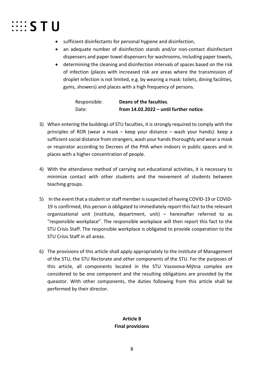

- sufficient disinfectants for personal hygiene and disinfection,
- an adequate number of disinfection stands and/or non-contact disinfectant dispensers and paper towel dispensers for washrooms, including paper towels,
- determining the cleaning and disinfection intervals of spaces based on the risk of infection (places with increased risk are areas where the transmission of droplet infection is not limited, e.g. by wearing a mask: toilets, dining facilities, gyms, showers) and places with a high frequency of persons.

Responsible: **Deans of the faculties**. Date: **from 14.02.2022 – until further notice**.

- 3) When entering the buildings of STU faculties, it is strongly required to comply with the principles of ROR (wear a mask – keep your distance – wash your hands): keep a sufficient social distance from strangers, wash your hands thoroughly and wear a mask or respirator according to Decrees of the PHA when indoors in public spaces and in places with a higher concentration of people.
- 4) With the attendance method of carrying out educational activities, it is necessary to minimize contact with other students and the movement of students between teaching groups.
- 5) In the event that a student or staff member is suspected of having COVID-19 or COVID-19 is confirmed, this person is obligated to immediately report this fact to the relevant organizational unit (institute, department, unit) – hereinafter referred to as "responsible workplace". The responsible workplace will then report this fact to the STU Crisis Staff. The responsible workplace is obligated to provide cooperation to the STU Crisis Staff in all areas.
- 6) The provisions of this article shall apply appropriately to the Institute of Management of the STU, the STU Rectorate and other components of the STU. For the purposes of this article, all components located in the STU Vazovova-Mýtna complex are considered to be one component and the resulting obligations are provided by the queastor. With other components, the duties following from this article shall be performed by their director.

# **Article 8 Final provisions**